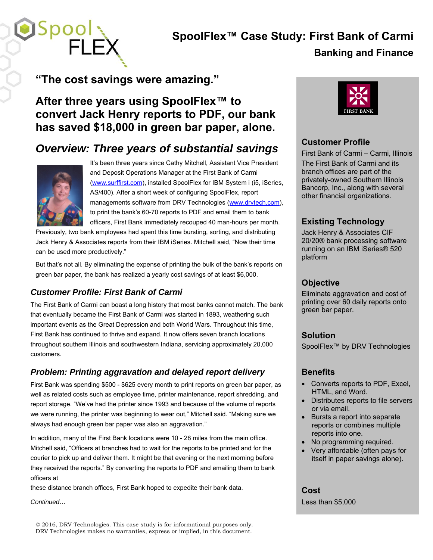# **SpoolFlex™ Case Study: First Bank of Carmi**

### **Banking and Finance**

## **"The cost savings were amazing."**

### **After three years using SpoolFlex™ to convert Jack Henry reports to PDF, our bank has saved \$18,000 in green bar paper, alone.**

### *Overview: Three years of substantial savings*



 $\blacksquare$ Spo $\blacksquare$ 

It's been three years since Cathy Mitchell, Assistant Vice President and Deposit Operations Manager at the First Bank of Carmi (www.surffirst.com), installed SpoolFlex for IBM System i (i5, iSeries, AS/400). After a short week of configuring SpoolFlex, report managements software from DRV Technologies (www.drvtech.com), to print the bank's 60-70 reports to PDF and email them to bank officers, First Bank immediately recouped 40 man-hours per month.

Previously, two bank employees had spent this time bursting, sorting, and distributing Jack Henry & Associates reports from their IBM iSeries. Mitchell said, "Now their time can be used more productively."

But that's not all. By eliminating the expense of printing the bulk of the bank's reports on green bar paper, the bank has realized a yearly cost savings of at least \$6,000.

### *Customer Profile: First Bank of Carmi*

The First Bank of Carmi can boast a long history that most banks cannot match. The bank that eventually became the First Bank of Carmi was started in 1893, weathering such important events as the Great Depression and both World Wars. Throughout this time, First Bank has continued to thrive and expand. It now offers seven branch locations throughout southern Illinois and southwestern Indiana, servicing approximately 20,000 customers.

#### *Problem: Printing aggravation and delayed report delivery*

First Bank was spending \$500 - \$625 every month to print reports on green bar paper, as well as related costs such as employee time, printer maintenance, report shredding, and report storage. "We've had the printer since 1993 and because of the volume of reports we were running, the printer was beginning to wear out," Mitchell said. "Making sure we always had enough green bar paper was also an aggravation."

In addition, many of the First Bank locations were 10 - 28 miles from the main office. Mitchell said, "Officers at branches had to wait for the reports to be printed and for the courier to pick up and deliver them. It might be that evening or the next morning before they received the reports." By converting the reports to PDF and emailing them to bank officers at

these distance branch offices, First Bank hoped to expedite their bank data.

*Continued…*

© 2016, DRV Technologies. This case study is for informational purposes only. DRV Technologies makes no warranties, express or implied, in this document.



#### **Customer Profile**

First Bank of Carmi – Carmi, Illinois The First Bank of Carmi and its branch offices are part of the privately-owned Southern Illinois Bancorp, Inc., along with several other financial organizations.

### **Existing Technology**

Jack Henry & Associates CIF 20/20® bank processing software running on an IBM iSeries® 520 platform

#### **Objective**

Eliminate aggravation and cost of printing over 60 daily reports onto green bar paper.

#### **Solution**

SpoolFlex™ by DRV Technologies

#### **Benefits**

- Converts reports to PDF, Excel, HTML, and Word.
- Distributes reports to file servers or via email.
- Bursts a report into separate reports or combines multiple reports into one.
- No programming required.
- Very affordable (often pays for itself in paper savings alone).

### **Cost**

Less than \$5,000